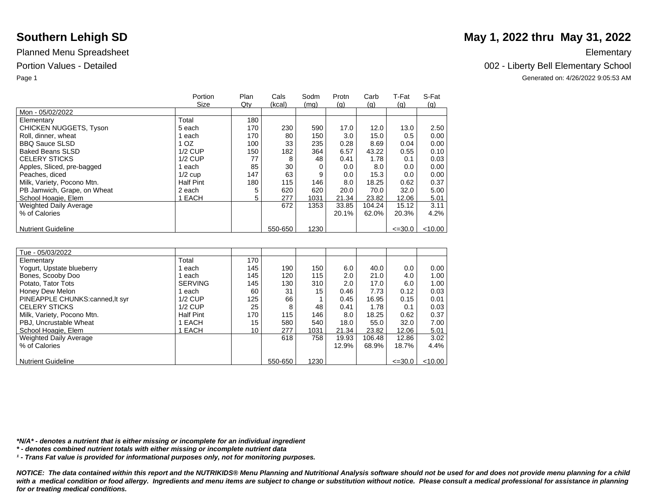|                               | Portion          | Plan | Cals    | Sodm | Protn | Carb   | T-Fat       | S-Fat     |
|-------------------------------|------------------|------|---------|------|-------|--------|-------------|-----------|
|                               | Size             | Qty  | (kcal)  | (mq) | (q)   | (q)    | (q)         | (q)       |
| Mon - 05/02/2022              |                  |      |         |      |       |        |             |           |
| Elementary                    | Total            | 180  |         |      |       |        |             |           |
| <b>CHICKEN NUGGETS, Tyson</b> | 5 each           | 170  | 230     | 590  | 17.0  | 12.0   | 13.0        | 2.50      |
| Roll, dinner, wheat           | each             | 170  | 80      | 150  | 3.0   | 15.0   | 0.5         | 0.00      |
| <b>BBQ Sauce SLSD</b>         | 1 OZ             | 100  | 33      | 235  | 0.28  | 8.69   | 0.04        | 0.00      |
| <b>Baked Beans SLSD</b>       | <b>1/2 CUP</b>   | 150  | 182     | 364  | 6.57  | 43.22  | 0.55        | 0.10      |
| <b>CELERY STICKS</b>          | $1/2$ CUP        | 77   | 8       | 48   | 0.41  | 1.78   | 0.1         | 0.03      |
| Apples, Sliced, pre-bagged    | each             | 85   | 30      | 0    | 0.0   | 8.0    | 0.0         | 0.00      |
| Peaches, diced                | $1/2$ cup        | 147  | 63      | 9    | 0.0   | 15.3   | 0.0         | 0.00      |
| Milk, Variety, Pocono Mtn.    | <b>Half Pint</b> | 180  | 115     | 146  | 8.0   | 18.25  | 0.62        | 0.37      |
| PB Jamwich, Grape, on Wheat   | 2 each           | 5    | 620     | 620  | 20.0  | 70.0   | 32.0        | 5.00      |
| School Hoagie, Elem           | <b>EACH</b>      | 5    | 277     | 1031 | 21.34 | 23.82  | 12.06       | 5.01      |
| <b>Weighted Daily Average</b> |                  |      | 672     | 1353 | 33.85 | 104.24 | 15.12       | 3.11      |
| % of Calories                 |                  |      |         |      | 20.1% | 62.0%  | 20.3%       | 4.2%      |
|                               |                  |      |         |      |       |        |             |           |
| <b>Nutrient Guideline</b>     |                  |      | 550-650 | 1230 |       |        | $\leq 30.0$ | $<$ 10.00 |

| Tue - 05/03/2022               |                  |     |         |      |       |        |             |           |
|--------------------------------|------------------|-----|---------|------|-------|--------|-------------|-----------|
| Elementary                     | Total            | 170 |         |      |       |        |             |           |
| Yogurt, Upstate blueberry      | each             | 145 | 190     | 150  | 6.0   | 40.0   | 0.0         | 0.00      |
| Bones, Scooby Doo              | each             | 145 | 120     | 115  | 2.0   | 21.0   | 4.0         | 1.00      |
| Potato. Tator Tots             | <b>SERVING</b>   | 145 | 130     | 310  | 2.0   | 17.0   | 6.0         | 1.00      |
| Honey Dew Melon                | each             | 60  | 31      | 15   | 0.46  | 7.73   | 0.12        | 0.03      |
| PINEAPPLE CHUNKS:canned.lt syr | $1/2$ CUP        | 125 | 66      |      | 0.45  | 16.95  | 0.15        | 0.01      |
| <b>CELERY STICKS</b>           | $1/2$ CUP        | 25  | 8       | 48   | 0.41  | 1.78   | 0.1         | 0.03      |
| Milk, Variety, Pocono Mtn.     | <b>Half Pint</b> | 170 | 115     | 146  | 8.0   | 18.25  | 0.62        | 0.37      |
| PBJ, Uncrustable Wheat         | 1 EACH           | 15  | 580     | 540  | 18.0  | 55.0   | 32.0        | 7.00      |
| School Hoagie, Elem            | 1 EACH           | 10  | 277     | 1031 | 21.34 | 23.82  | 12.06       | 5.01      |
| Weighted Daily Average         |                  |     | 618     | 758  | 19.93 | 106.48 | 12.86       | 3.02      |
| % of Calories                  |                  |     |         |      | 12.9% | 68.9%  | 18.7%       | 4.4%      |
|                                |                  |     |         |      |       |        |             |           |
| <b>Nutrient Guideline</b>      |                  |     | 550-650 | 1230 |       |        | $\leq 30.0$ | $<$ 10.00 |

*\*N/A\* - denotes a nutrient that is either missing or incomplete for an individual ingredient*

*\* - denotes combined nutrient totals with either missing or incomplete nutrient data*

*¹ - Trans Fat value is provided for informational purposes only, not for monitoring purposes.*

*NOTICE: The data contained within this report and the NUTRIKIDS® Menu Planning and Nutritional Analysis software should not be used for and does not provide menu planning for a child*  with a medical condition or food allergy. Ingredients and menu items are subject to change or substitution without notice. Please consult a medical professional for assistance in planning *for or treating medical conditions.*

## **Southern Lehigh SD** May 1, 2022 thru May 31, 2022

Portion Values - Detailed **Detailed** 2002 - Liberty Bell Elementary School

Page 1 Generated on: 4/26/2022 9:05:53 AM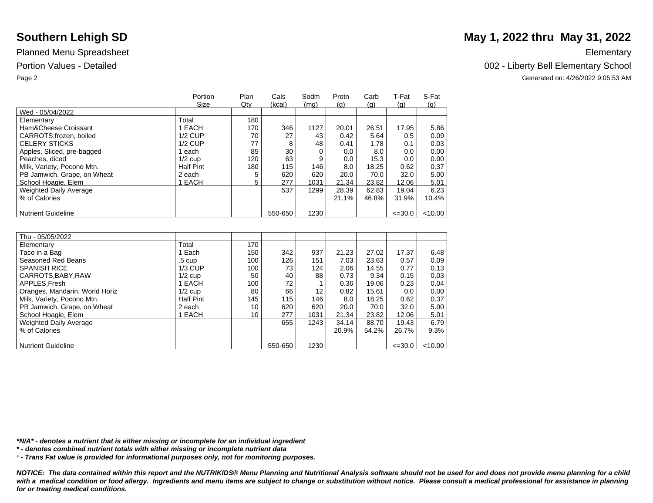|                               | Portion          | Plan | Cals    | Sodm | Protn | Carb  | T-Fat       | S-Fat   |
|-------------------------------|------------------|------|---------|------|-------|-------|-------------|---------|
|                               | Size             | Qty  | (kcal)  | (mq) | (q)   | (q)   | (q)         | (q)     |
| Wed - 05/04/2022              |                  |      |         |      |       |       |             |         |
| Elementary                    | Total            | 180  |         |      |       |       |             |         |
| Ham&Cheese Croissant          | EACH             | 170  | 346     | 1127 | 20.01 | 26.51 | 17.95       | 5.86    |
| CARROTS:frozen, boiled        | $1/2$ CUP        | 70   | 27      | 43   | 0.42  | 5.64  | 0.5         | 0.09    |
| <b>CELERY STICKS</b>          | $1/2$ CUP        | 77   | 8       | 48   | 0.41  | 1.78  | 0.1         | 0.03    |
| Apples, Sliced, pre-bagged    | each             | 85   | 30      |      | 0.0   | 8.0   | 0.0         | 0.00    |
| Peaches, diced                | $1/2$ cup        | 120  | 63      | 9    | 0.0   | 15.3  | 0.0         | 0.00    |
| Milk, Variety, Pocono Mtn.    | <b>Half Pint</b> | 180  | 115     | 146  | 8.0   | 18.25 | 0.62        | 0.37    |
| PB Jamwich, Grape, on Wheat   | 2 each           | 5    | 620     | 620  | 20.0  | 70.0  | 32.0        | 5.00    |
| School Hoagie, Elem           | EACH             | 5    | 277     | 1031 | 21.34 | 23.82 | 12.06       | 5.01    |
| <b>Weighted Daily Average</b> |                  |      | 537     | 1299 | 28.39 | 62.83 | 19.04       | 6.23    |
| % of Calories                 |                  |      |         |      | 21.1% | 46.8% | 31.9%       | 10.4%   |
|                               |                  |      |         |      |       |       |             |         |
| <b>Nutrient Guideline</b>     |                  |      | 550-650 | 1230 |       |       | $\leq 30.0$ | < 10.00 |

| Thu - 05/05/2022               |                  |     |         |      |       |       |             |         |
|--------------------------------|------------------|-----|---------|------|-------|-------|-------------|---------|
| Elementary                     | Total            | 170 |         |      |       |       |             |         |
| Taco in a Bag                  | Each             | 150 | 342     | 937  | 21.23 | 27.02 | 17.37       | 6.48    |
| Seasoned Red Beans             | .5 cup           | 100 | 126     | 151  | 7.03  | 23.63 | 0.57        | 0.09    |
| <b>SPANISH RICE</b>            | $1/3$ CUP        | 100 | 73      | 124  | 2.06  | 14.55 | 0.77        | 0.13    |
| CARROTS, BABY, RAW             | $1/2$ cup        | 50  | 40      | 88   | 0.73  | 9.34  | 0.15        | 0.03    |
| APPLES, Fresh                  | EACH             | 100 | 72      |      | 0.36  | 19.06 | 0.23        | 0.04    |
| Oranges, Mandarin, World Horiz | $1/2$ cup        | 80  | 66      | 12   | 0.82  | 15.61 | 0.0         | 0.00    |
| Milk, Variety, Pocono Mtn.     | <b>Half Pint</b> | 145 | 115     | 146  | 8.0   | 18.25 | 0.62        | 0.37    |
| PB Jamwich, Grape, on Wheat    | 2 each           | 10  | 620     | 620  | 20.0  | 70.0  | 32.0        | 5.00    |
| School Hoagie, Elem            | <b>EACH</b>      | 10  | 277     | 1031 | 21.34 | 23.82 | 12.06       | 5.01    |
| Weighted Daily Average         |                  |     | 655     | 1243 | 34.14 | 88.70 | 19.43       | 6.79    |
| % of Calories                  |                  |     |         |      | 20.9% | 54.2% | 26.7%       | 9.3%    |
|                                |                  |     |         |      |       |       |             |         |
| <b>Nutrient Guideline</b>      |                  |     | 550-650 | 1230 |       |       | $\leq 30.0$ | < 10.00 |

*\*N/A\* - denotes a nutrient that is either missing or incomplete for an individual ingredient*

*\* - denotes combined nutrient totals with either missing or incomplete nutrient data*

*¹ - Trans Fat value is provided for informational purposes only, not for monitoring purposes.*

*NOTICE: The data contained within this report and the NUTRIKIDS® Menu Planning and Nutritional Analysis software should not be used for and does not provide menu planning for a child*  with a medical condition or food allergy. Ingredients and menu items are subject to change or substitution without notice. Please consult a medical professional for assistance in planning *for or treating medical conditions.*

## **Southern Lehigh SD** May 1, 2022 thru May 31, 2022

Portion Values - Detailed **Detailed** 2002 - Liberty Bell Elementary School

Page 2 Generated on: 4/26/2022 9:05:53 AM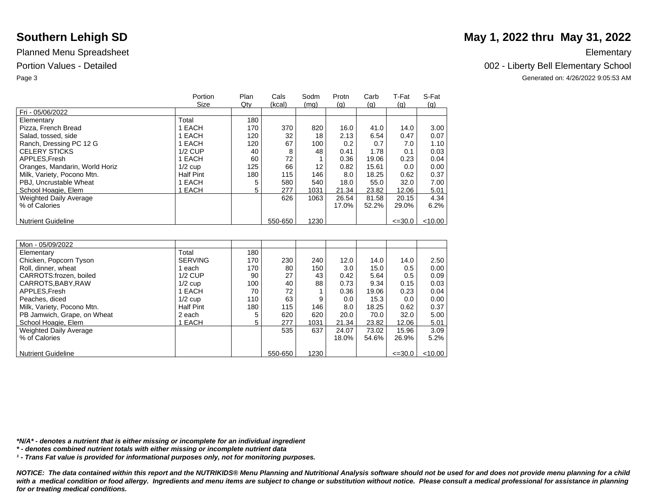|                                | Portion          | Plan | Cals    | Sodm | Protn | Carb  | T-Fat       | S-Fat      |
|--------------------------------|------------------|------|---------|------|-------|-------|-------------|------------|
|                                | Size             | Qty  | (kcal)  | (mq) | (q)   | (q)   | (q)         | <u>(g)</u> |
| Fri - 05/06/2022               |                  |      |         |      |       |       |             |            |
| Elementary                     | Total            | 180  |         |      |       |       |             |            |
| Pizza, French Bread            | EACH             | 170  | 370     | 820  | 16.0  | 41.0  | 14.0        | 3.00       |
| Salad, tossed, side            | EACH             | 120  | 32      | 18   | 2.13  | 6.54  | 0.47        | 0.07       |
| Ranch, Dressing PC 12 G        | EACH             | 120  | 67      | 100  | 0.2   | 0.7   | 7.0         | 1.10       |
| <b>CELERY STICKS</b>           | $1/2$ CUP        | 40   | 8       | 48   | 0.41  | 1.78  | 0.1         | 0.03       |
| APPLES, Fresh                  | 1 EACH           | 60   | 72      |      | 0.36  | 19.06 | 0.23        | 0.04       |
| Oranges, Mandarin, World Horiz | $1/2$ cup        | 125  | 66      | 12   | 0.82  | 15.61 | 0.0         | 0.00       |
| Milk, Variety, Pocono Mtn.     | <b>Half Pint</b> | 180  | 115     | 146  | 8.0   | 18.25 | 0.62        | 0.37       |
| PBJ, Uncrustable Wheat         | EACH             | 5    | 580     | 540  | 18.0  | 55.0  | 32.0        | 7.00       |
| School Hoagie, Elem            | <b>EACH</b>      | 5    | 277     | 1031 | 21.34 | 23.82 | 12.06       | 5.01       |
| <b>Weighted Daily Average</b>  |                  |      | 626     | 1063 | 26.54 | 81.58 | 20.15       | 4.34       |
| % of Calories                  |                  |      |         |      | 17.0% | 52.2% | 29.0%       | 6.2%       |
|                                |                  |      |         |      |       |       |             |            |
| <b>Nutrient Guideline</b>      |                  |      | 550-650 | 1230 |       |       | $\leq 30.0$ | $<$ 10.00  |

| Mon - 05/09/2022            |                  |     |         |      |                  |       |             |         |
|-----------------------------|------------------|-----|---------|------|------------------|-------|-------------|---------|
| Elementary                  | Total            | 180 |         |      |                  |       |             |         |
|                             |                  |     |         |      |                  |       |             |         |
| Chicken, Popcorn Tyson      | <b>SERVING</b>   | 170 | 230     | 240  | 12.0             | 14.0  | 14.0        | 2.50    |
| Roll, dinner, wheat         | each             | 170 | 80      | 150  | 3.0 <sub>2</sub> | 15.0  | 0.5         | 0.00    |
| CARROTS:frozen. boiled      | $1/2$ CUP        | 90  | 27      | 43   | 0.42             | 5.64  | 0.5         | 0.09    |
| CARROTS, BABY, RAW          | $1/2$ cup        | 100 | 40      | 88   | 0.73             | 9.34  | 0.15        | 0.03    |
| APPLES.Fresh                | 1 EACH           | 70  | 72      |      | 0.36             | 19.06 | 0.23        | 0.04    |
| Peaches, diced              | $1/2$ cup        | 110 | 63      | 9    | 0.0              | 15.3  | 0.0         | 0.00    |
| Milk, Variety, Pocono Mtn.  | <b>Half Pint</b> | 180 | 115     | 146  | 8.0              | 18.25 | 0.62        | 0.37    |
| PB Jamwich, Grape, on Wheat | 2 each           | 5   | 620     | 620  | 20.0             | 70.0  | 32.0        | 5.00    |
| School Hoagie, Elem         | <b>EACH</b>      | 5.  | 277     | 1031 | 21.34            | 23.82 | 12.06       | 5.01    |
| Weighted Daily Average      |                  |     | 535     | 637  | 24.07            | 73.02 | 15.96       | 3.09    |
| % of Calories               |                  |     |         |      | 18.0%            | 54.6% | 26.9%       | 5.2%    |
|                             |                  |     |         |      |                  |       |             |         |
| <b>Nutrient Guideline</b>   |                  |     | 550-650 | 1230 |                  |       | $\leq 30.0$ | < 10.00 |

*\*N/A\* - denotes a nutrient that is either missing or incomplete for an individual ingredient*

*\* - denotes combined nutrient totals with either missing or incomplete nutrient data*

*¹ - Trans Fat value is provided for informational purposes only, not for monitoring purposes.*

*NOTICE: The data contained within this report and the NUTRIKIDS® Menu Planning and Nutritional Analysis software should not be used for and does not provide menu planning for a child*  with a medical condition or food allergy. Ingredients and menu items are subject to change or substitution without notice. Please consult a medical professional for assistance in planning *for or treating medical conditions.*

# **Southern Lehigh SD** May 1, 2022 thru May 31, 2022

Portion Values - Detailed **Detailed** 2002 - Liberty Bell Elementary School

Page 3 Generated on: 4/26/2022 9:05:53 AM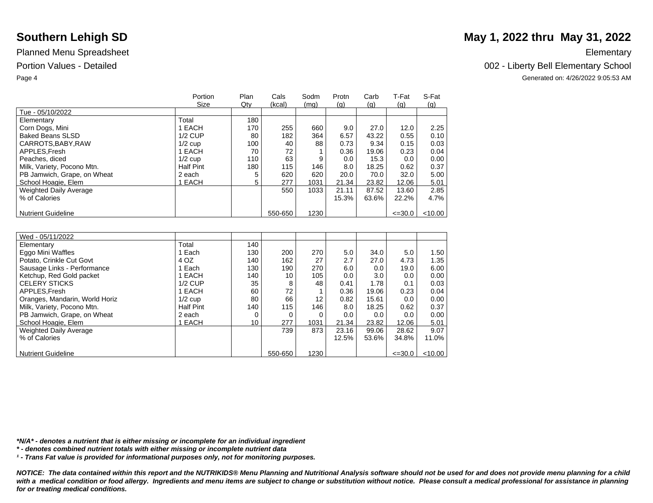|                             | Portion          | Plan | Cals    | Sodm | Protn | Carb  | T-Fat       | S-Fat  |
|-----------------------------|------------------|------|---------|------|-------|-------|-------------|--------|
|                             | Size             | Qty  | (kcal)  | (mq) | (q)   | (q)   | (q)         | (q)    |
| Tue - 05/10/2022            |                  |      |         |      |       |       |             |        |
| Elementary                  | Total            | 180  |         |      |       |       |             |        |
| Corn Dogs, Mini             | I EACH           | 170  | 255     | 660  | 9.0   | 27.0  | 12.0        | 2.25   |
| Baked Beans SLSD            | $1/2$ CUP        | 80   | 182     | 364  | 6.57  | 43.22 | 0.55        | 0.10   |
| CARROTS, BABY, RAW          | $1/2$ cup        | 100  | 40      | 88   | 0.73  | 9.34  | 0.15        | 0.03   |
| APPLES.Fresh                | 1 EACH           | 70   | 72      |      | 0.36  | 19.06 | 0.23        | 0.04   |
| Peaches, diced              | $1/2$ cup        | 110  | 63      | 9    | 0.0   | 15.3  | 0.0         | 0.00   |
| Milk, Variety, Pocono Mtn.  | <b>Half Pint</b> | 180  | 115     | 146  | 8.0   | 18.25 | 0.62        | 0.37   |
| PB Jamwich, Grape, on Wheat | 2 each           | 5    | 620     | 620  | 20.0  | 70.0  | 32.0        | 5.00   |
| School Hoagie, Elem         | <b>EACH</b>      | 5    | 277     | 1031 | 21.34 | 23.82 | 12.06       | 5.01   |
| Weighted Daily Average      |                  |      | 550     | 1033 | 21.11 | 87.52 | 13.60       | 2.85   |
| % of Calories               |                  |      |         |      | 15.3% | 63.6% | 22.2%       | 4.7%   |
|                             |                  |      |         |      |       |       |             |        |
| <b>Nutrient Guideline</b>   |                  |      | 550-650 | 1230 |       |       | $\leq 30.0$ | <10.00 |

| Wed - 05/11/2022               |                  |     |         |      |       |       |             |           |
|--------------------------------|------------------|-----|---------|------|-------|-------|-------------|-----------|
| Elementary                     | Total            | 140 |         |      |       |       |             |           |
| Eggo Mini Waffles              | Each             | 130 | 200     | 270  | 5.0   | 34.0  | 5.0         | 1.50      |
| Potato, Crinkle Cut Govt       | 4 OZ             | 140 | 162     | 27   | 2.7   | 27.0  | 4.73        | 1.35      |
| Sausage Links - Performance    | Each             | 130 | 190     | 270  | 6.0   | 0.0   | 19.0        | 6.00      |
| Ketchup, Red Gold packet       | EACH             | 140 | 10      | 105  | 0.0   | 3.0   | 0.0         | 0.00      |
| <b>CELERY STICKS</b>           | $1/2$ CUP        | 35  | 8       | 48   | 0.41  | 1.78  | 0.1         | 0.03      |
| APPLES.Fresh                   | 1 EACH           | 60  | 72      |      | 0.36  | 19.06 | 0.23        | 0.04      |
| Oranges, Mandarin, World Horiz | $1/2$ cup        | 80  | 66      | 12   | 0.82  | 15.61 | 0.0         | 0.00      |
| Milk, Variety, Pocono Mtn.     | <b>Half Pint</b> | 140 | 115     | 146  | 8.0   | 18.25 | 0.62        | 0.37      |
| PB Jamwich, Grape, on Wheat    | 2 each           |     | 0       |      | 0.0   | 0.0   | 0.0         | 0.00      |
| School Hoagie, Elem            | EACH             | 10  | 277     | 1031 | 21.34 | 23.82 | 12.06       | 5.01      |
| <b>Weighted Daily Average</b>  |                  |     | 739     | 873  | 23.16 | 99.06 | 28.62       | 9.07      |
| % of Calories                  |                  |     |         |      | 12.5% | 53.6% | 34.8%       | 11.0%     |
|                                |                  |     |         |      |       |       |             |           |
| <b>Nutrient Guideline</b>      |                  |     | 550-650 | 1230 |       |       | $\leq 30.0$ | $<$ 10.00 |

*\*N/A\* - denotes a nutrient that is either missing or incomplete for an individual ingredient*

*\* - denotes combined nutrient totals with either missing or incomplete nutrient data*

*¹ - Trans Fat value is provided for informational purposes only, not for monitoring purposes.*

*NOTICE: The data contained within this report and the NUTRIKIDS® Menu Planning and Nutritional Analysis software should not be used for and does not provide menu planning for a child*  with a medical condition or food allergy. Ingredients and menu items are subject to change or substitution without notice. Please consult a medical professional for assistance in planning *for or treating medical conditions.*

## **Southern Lehigh SD** May 1, 2022 thru May 31, 2022

Portion Values - Detailed **Detailed** 2002 - Liberty Bell Elementary School

Page 4 Generated on: 4/26/2022 9:05:53 AM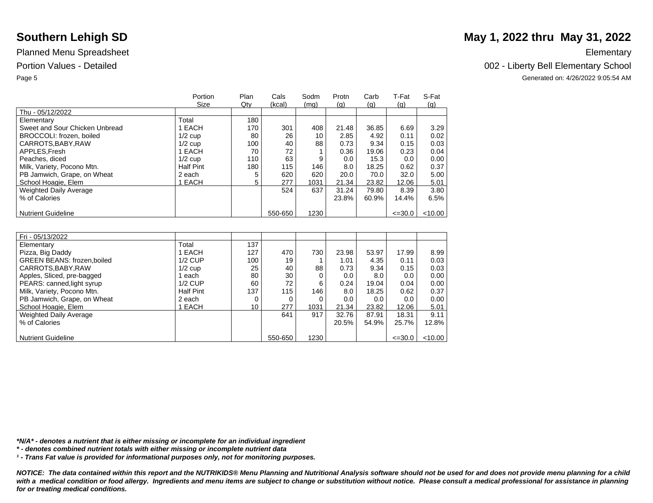|                                | Portion<br>Size | Plan | Cals    | Sodm | Protn | Carb  | T-Fat       | S-Fat   |
|--------------------------------|-----------------|------|---------|------|-------|-------|-------------|---------|
| Thu - 05/12/2022               |                 | Qty  | (kcal)  | (mq) | (q)   | (q)   | (q)         | (q)     |
|                                | Total           | 180  |         |      |       |       |             |         |
| Elementary                     |                 |      |         |      |       |       |             |         |
| Sweet and Sour Chicken Unbread | 1 EACH          | 170  | 301     | 408  | 21.48 | 36.85 | 6.69        | 3.29    |
| BROCCOLI: frozen, boiled       | $1/2$ cup       | 80   | 26      | 10   | 2.85  | 4.92  | 0.11        | 0.02    |
| CARROTS, BABY, RAW             | $1/2$ cup       | 100  | 40      | 88   | 0.73  | 9.34  | 0.15        | 0.03    |
| APPLES.Fresh                   | 1 EACH          | 70   | 72      |      | 0.36  | 19.06 | 0.23        | 0.04    |
| Peaches, diced                 | $1/2$ cup       | 110  | 63      | 9    | 0.0   | 15.3  | 0.0         | 0.00    |
| Milk, Variety, Pocono Mtn.     | Half Pint       | 180  | 115     | 146  | 8.0   | 18.25 | 0.62        | 0.37    |
| PB Jamwich, Grape, on Wheat    | 2 each          |      | 620     | 620  | 20.0  | 70.0  | 32.0        | 5.00    |
| School Hoagie, Elem            | 1 EACH          | 5    | 277     | 1031 | 21.34 | 23.82 | 12.06       | 5.01    |
| <b>Weighted Daily Average</b>  |                 |      | 524     | 637  | 31.24 | 79.80 | 8.39        | 3.80    |
| % of Calories                  |                 |      |         |      | 23.8% | 60.9% | 14.4%       | 6.5%    |
|                                |                 |      |         |      |       |       |             |         |
| <b>Nutrient Guideline</b>      |                 |      | 550-650 | 1230 |       |       | $\leq 30.0$ | < 10.00 |

| Fri - 05/13/2022                  |                  |     |         |      |       |       |             |         |
|-----------------------------------|------------------|-----|---------|------|-------|-------|-------------|---------|
| Elementary                        | Total            | 137 |         |      |       |       |             |         |
| Pizza, Big Daddy                  | 1 EACH           | 127 | 470     | 730  | 23.98 | 53.97 | 17.99       | 8.99    |
| <b>GREEN BEANS: frozen,boiled</b> | $1/2$ CUP        | 100 | 19      |      | 1.01  | 4.35  | 0.11        | 0.03    |
| CARROTS, BABY, RAW                | $1/2$ cup        | 25  | 40      | 88   | 0.73  | 9.34  | 0.15        | 0.03    |
| Apples, Sliced, pre-bagged        | each             | 80  | 30      | 0    | 0.0   | 8.0   | 0.0         | 0.00    |
| PEARS: canned, light syrup        | $1/2$ CUP        | 60  | 72      | 6    | 0.24  | 19.04 | 0.04        | 0.00    |
| Milk, Variety, Pocono Mtn.        | <b>Half Pint</b> | 137 | 115     | 146  | 8.0   | 18.25 | 0.62        | 0.37    |
| PB Jamwich, Grape, on Wheat       | 2 each           | 0   | 0       | 0    | 0.0   | 0.0   | 0.0         | 0.00    |
| School Hoagie, Elem               | 1 EACH           | 10  | 277     | 1031 | 21.34 | 23.82 | 12.06       | 5.01    |
| <b>Weighted Daily Average</b>     |                  |     | 641     | 917  | 32.76 | 87.91 | 18.31       | 9.11    |
| % of Calories                     |                  |     |         |      | 20.5% | 54.9% | 25.7%       | 12.8%   |
|                                   |                  |     |         |      |       |       |             |         |
| <b>Nutrient Guideline</b>         |                  |     | 550-650 | 1230 |       |       | $\leq 30.0$ | < 10.00 |

*\*N/A\* - denotes a nutrient that is either missing or incomplete for an individual ingredient*

*\* - denotes combined nutrient totals with either missing or incomplete nutrient data*

*¹ - Trans Fat value is provided for informational purposes only, not for monitoring purposes.*

*NOTICE: The data contained within this report and the NUTRIKIDS® Menu Planning and Nutritional Analysis software should not be used for and does not provide menu planning for a child*  with a medical condition or food allergy. Ingredients and menu items are subject to change or substitution without notice. Please consult a medical professional for assistance in planning *for or treating medical conditions.*

## **Southern Lehigh SD** May 1, 2022 thru May 31, 2022

Portion Values - Detailed **Detailed** 2002 - Liberty Bell Elementary School

Page 5 Generated on: 4/26/2022 9:05:54 AM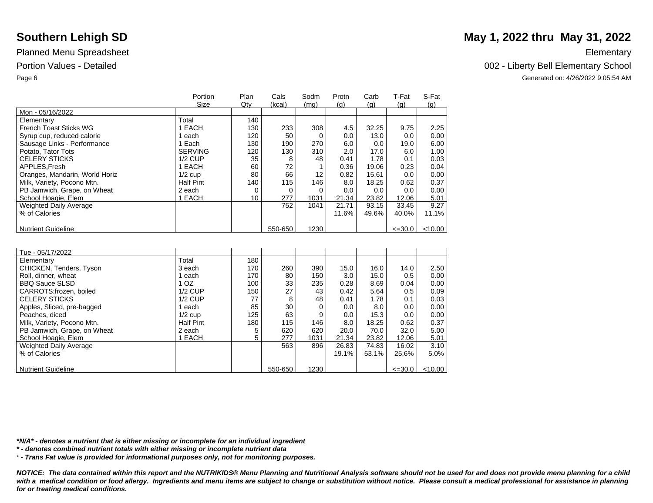|                                | Portion          | Plan | Cals    | Sodm | Protn | Carb  | T-Fat       | S-Fat     |
|--------------------------------|------------------|------|---------|------|-------|-------|-------------|-----------|
|                                | Size             | Qty  | (kcal)  | (mg) | (q)   | (g)   | (q)         | (g)       |
| Mon - 05/16/2022               |                  |      |         |      |       |       |             |           |
| Elementary                     | Total            | 140  |         |      |       |       |             |           |
| French Toast Sticks WG         | EACH             | 130  | 233     | 308  | 4.5   | 32.25 | 9.75        | 2.25      |
| Syrup cup, reduced calorie     | each             | 120  | 50      |      | 0.0   | 13.0  | 0.0         | 0.00      |
| Sausage Links - Performance    | 1 Each           | 130  | 190     | 270  | 6.0   | 0.0   | 19.0        | 6.00      |
| Potato, Tator Tots             | <b>SERVING</b>   | 120  | 130     | 310  | 2.0   | 17.0  | 6.0         | 1.00      |
| <b>CELERY STICKS</b>           | $1/2$ CUP        | 35   | 8       | 48   | 0.41  | 1.78  | 0.1         | 0.03      |
| APPLES.Fresh                   | 1 EACH           | 60   | 72      |      | 0.36  | 19.06 | 0.23        | 0.04      |
| Oranges, Mandarin, World Horiz | $1/2$ cup        | 80   | 66      | 12   | 0.82  | 15.61 | 0.0         | 0.00      |
| Milk, Variety, Pocono Mtn.     | <b>Half Pint</b> | 140  | 115     | 146  | 8.0   | 18.25 | 0.62        | 0.37      |
| PB Jamwich, Grape, on Wheat    | 2 each           |      | 0       | 0    | 0.0   | 0.0   | 0.0         | 0.00      |
| School Hoagie, Elem            | 1 EACH           | 10   | 277     | 1031 | 21.34 | 23.82 | 12.06       | 5.01      |
| <b>Weighted Daily Average</b>  |                  |      | 752     | 1041 | 21.71 | 93.15 | 33.45       | 9.27      |
| % of Calories                  |                  |      |         |      | 11.6% | 49.6% | 40.0%       | 11.1%     |
|                                |                  |      |         |      |       |       |             |           |
| <b>Nutrient Guideline</b>      |                  |      | 550-650 | 1230 |       |       | $\leq 30.0$ | $<$ 10.00 |

| Tue - 05/17/2022              |                  |     |         |      |       |       |             |           |
|-------------------------------|------------------|-----|---------|------|-------|-------|-------------|-----------|
| Elementary                    | Total            | 180 |         |      |       |       |             |           |
| CHICKEN, Tenders, Tyson       | 3 each           | 170 | 260     | 390  | 15.0  | 16.0  | 14.0        | 2.50      |
| Roll, dinner, wheat           | each             | 170 | 80      | 150  | 3.0   | 15.0  | 0.5         | 0.00      |
| <b>BBQ Sauce SLSD</b>         | 1 <sub>OZ</sub>  | 100 | 33      | 235  | 0.28  | 8.69  | 0.04        | 0.00      |
| CARROTS: frozen, boiled       | $1/2$ CUP        | 150 | 27      | 43   | 0.42  | 5.64  | 0.5         | 0.09      |
| <b>CELERY STICKS</b>          | $1/2$ CUP        | 77  | 8       | 48   | 0.41  | 1.78  | 0.1         | 0.03      |
| Apples, Sliced, pre-bagged    | each             | 85  | 30      | 0    | 0.0   | 8.0   | 0.0         | 0.00      |
| Peaches, diced                | $1/2$ cup        | 125 | 63      | 9    | 0.0   | 15.3  | 0.0         | 0.00      |
| Milk, Variety, Pocono Mtn.    | <b>Half Pint</b> | 180 | 115     | 146  | 8.0   | 18.25 | 0.62        | 0.37      |
| PB Jamwich, Grape, on Wheat   | 2 each           |     | 620     | 620  | 20.0  | 70.0  | 32.0        | 5.00      |
| School Hoagie, Elem           | 1 EACH           | 5   | 277     | 1031 | 21.34 | 23.82 | 12.06       | 5.01      |
| <b>Weighted Daily Average</b> |                  |     | 563     | 896  | 26.83 | 74.83 | 16.02       | 3.10      |
| % of Calories                 |                  |     |         |      | 19.1% | 53.1% | 25.6%       | 5.0%      |
|                               |                  |     |         |      |       |       |             |           |
| <b>Nutrient Guideline</b>     |                  |     | 550-650 | 1230 |       |       | $\leq 30.0$ | $<$ 10.00 |

*\*N/A\* - denotes a nutrient that is either missing or incomplete for an individual ingredient*

*\* - denotes combined nutrient totals with either missing or incomplete nutrient data*

*¹ - Trans Fat value is provided for informational purposes only, not for monitoring purposes.*

*NOTICE: The data contained within this report and the NUTRIKIDS® Menu Planning and Nutritional Analysis software should not be used for and does not provide menu planning for a child*  with a medical condition or food allergy. Ingredients and menu items are subject to change or substitution without notice. Please consult a medical professional for assistance in planning *for or treating medical conditions.*

## **Southern Lehigh SD** May 1, 2022 thru May 31, 2022

Portion Values - Detailed **Detailed** 2002 - Liberty Bell Elementary School

Page 6 Generated on: 4/26/2022 9:05:54 AM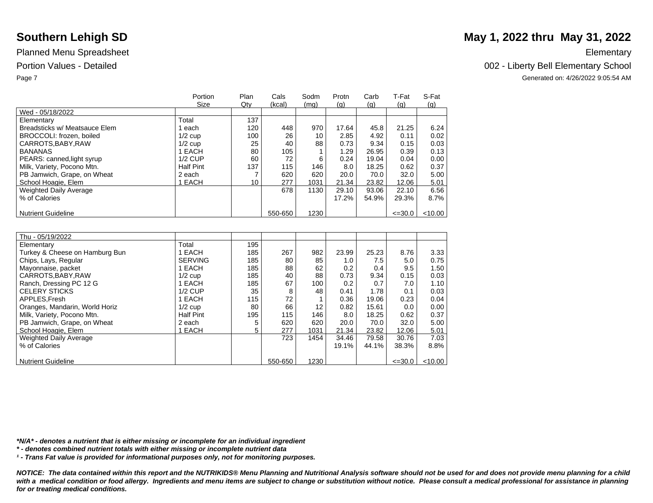|                               | Portion<br>Size  | Plan<br>Qty | Cals<br>(kcal) | Sodm<br>(mq) | Protn<br>(q) | Carb<br>(q) | T-Fat<br>(q) | S-Fat<br>(q) |
|-------------------------------|------------------|-------------|----------------|--------------|--------------|-------------|--------------|--------------|
| Wed - 05/18/2022              |                  |             |                |              |              |             |              |              |
| Elementary                    | Total            | 137         |                |              |              |             |              |              |
| Breadsticks w/ Meatsauce Elem | each             | 120         | 448            | 970          | 17.64        | 45.8        | 21.25        | 6.24         |
| BROCCOLI: frozen, boiled      | $1/2$ cup        | 100         | 26             | 10           | 2.85         | 4.92        | 0.11         | 0.02         |
| CARROTS, BABY, RAW            | $1/2$ cup        | 25          | 40             | 88           | 0.73         | 9.34        | 0.15         | 0.03         |
| <b>BANANAS</b>                | 1 EACH           | 80          | 105            |              | 1.29         | 26.95       | 0.39         | 0.13         |
| PEARS: canned, light syrup    | $1/2$ CUP        | 60          | 72             | 6            | 0.24         | 19.04       | 0.04         | 0.00         |
| Milk, Variety, Pocono Mtn.    | <b>Half Pint</b> | 137         | 115            | 146          | 8.0          | 18.25       | 0.62         | 0.37         |
| PB Jamwich, Grape, on Wheat   | 2 each           |             | 620            | 620          | 20.0         | 70.0        | 32.0         | 5.00         |
| School Hoagie, Elem           | 1 EACH           | 10          | 277            | 1031         | 21.34        | 23.82       | 12.06        | 5.01         |
| Weighted Daily Average        |                  |             | 678            | 1130         | 29.10        | 93.06       | 22.10        | 6.56         |
| % of Calories                 |                  |             |                |              | 17.2%        | 54.9%       | 29.3%        | 8.7%         |
|                               |                  |             |                |              |              |             |              |              |
| <b>Nutrient Guideline</b>     |                  |             | 550-650        | 1230         |              |             | $\leq 30.0$  | < 10.00      |

| Thu - 05/19/2022               |                  |     |         |                   |       |       |             |         |
|--------------------------------|------------------|-----|---------|-------------------|-------|-------|-------------|---------|
| Elementary                     | Total            | 195 |         |                   |       |       |             |         |
| Turkey & Cheese on Hamburg Bun | EACH             | 185 | 267     | 982               | 23.99 | 25.23 | 8.76        | 3.33    |
| Chips, Lays, Regular           | <b>SERVING</b>   | 185 | 80      | 85                | 1.0   | 7.5   | 5.0         | 0.75    |
| Mayonnaise, packet             | 1 EACH           | 185 | 88      | 62                | 0.2   | 0.4   | 9.5         | 1.50    |
| CARROTS, BABY, RAW             | $1/2$ cup        | 185 | 40      | 88                | 0.73  | 9.34  | 0.15        | 0.03    |
| Ranch, Dressing PC 12 G        | EACH             | 185 | 67      | 100               | 0.2   | 0.7   | 7.0         | 1.10    |
| <b>CELERY STICKS</b>           | $1/2$ CUP        | 35  | 8       | 48                | 0.41  | 1.78  | 0.1         | 0.03    |
| APPLES.Fresh                   | EACH             | 115 | 72      |                   | 0.36  | 19.06 | 0.23        | 0.04    |
| Oranges, Mandarin, World Horiz | $1/2$ cup        | 80  | 66      | $12 \overline{ }$ | 0.82  | 15.61 | 0.0         | 0.00    |
| Milk, Variety, Pocono Mtn.     | <b>Half Pint</b> | 195 | 115     | 146               | 8.0   | 18.25 | 0.62        | 0.37    |
| PB Jamwich, Grape, on Wheat    | 2 each           | 5   | 620     | 620               | 20.0  | 70.0  | 32.0        | 5.00    |
| School Hoagie, Elem            | EACH             | 5   | 277     | 1031              | 21.34 | 23.82 | 12.06       | 5.01    |
| <b>Weighted Daily Average</b>  |                  |     | 723     | 1454              | 34.46 | 79.58 | 30.76       | 7.03    |
| % of Calories                  |                  |     |         |                   | 19.1% | 44.1% | 38.3%       | 8.8%    |
|                                |                  |     |         |                   |       |       |             |         |
| <b>Nutrient Guideline</b>      |                  |     | 550-650 | 1230              |       |       | $\leq 30.0$ | < 10.00 |

*\*N/A\* - denotes a nutrient that is either missing or incomplete for an individual ingredient*

*\* - denotes combined nutrient totals with either missing or incomplete nutrient data*

*¹ - Trans Fat value is provided for informational purposes only, not for monitoring purposes.*

*NOTICE: The data contained within this report and the NUTRIKIDS® Menu Planning and Nutritional Analysis software should not be used for and does not provide menu planning for a child*  with a medical condition or food allergy. Ingredients and menu items are subject to change or substitution without notice. Please consult a medical professional for assistance in planning *for or treating medical conditions.*

## **Southern Lehigh SD** May 1, 2022 thru May 31, 2022

Portion Values - Detailed **Detailed** 2002 - Liberty Bell Elementary School

Page 7 Generated on: 4/26/2022 9:05:54 AM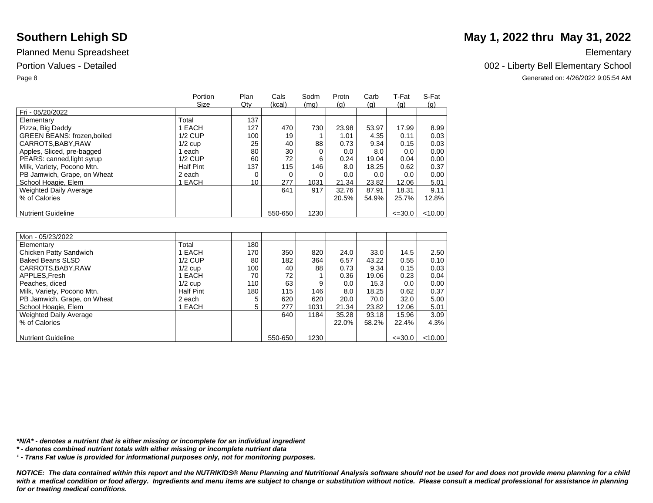|                                   | Portion<br>Size  | Plan<br>Qty | Cals<br>(kcal) | Sodm<br>(mq) | Protn | Carb<br>(q) | T-Fat       | S-Fat     |
|-----------------------------------|------------------|-------------|----------------|--------------|-------|-------------|-------------|-----------|
| Fri - 05/20/2022                  |                  |             |                |              | (q)   |             | (q)         | (q)       |
| Elementary                        | Total            | 137         |                |              |       |             |             |           |
| Pizza, Big Daddy                  | EACH             | 127         | 470            | 730          | 23.98 | 53.97       | 17.99       | 8.99      |
| <b>GREEN BEANS: frozen.boiled</b> | $1/2$ CUP        | 100         | 19             |              | 1.01  | 4.35        | 0.11        | 0.03      |
| CARROTS, BABY, RAW                | $1/2$ cup        | 25          | 40             | 88           | 0.73  | 9.34        | 0.15        | 0.03      |
| Apples, Sliced, pre-bagged        | each             | 80          | 30             | 0            | 0.0   | 8.0         | 0.0         | 0.00      |
| PEARS: canned, light syrup        | $1/2$ CUP        | 60          | 72             | 6            | 0.24  | 19.04       | 0.04        | 0.00      |
| Milk, Variety, Pocono Mtn.        | <b>Half Pint</b> | 137         | 115            | 146          | 8.0   | 18.25       | 0.62        | 0.37      |
| PB Jamwich, Grape, on Wheat       | 2 each           | 0           |                | $\Omega$     | 0.0   | 0.0         | 0.0         | 0.00      |
| School Hoagie, Elem               | EACH             | 10          | 277            | 1031         | 21.34 | 23.82       | 12.06       | 5.01      |
| <b>Weighted Daily Average</b>     |                  |             | 641            | 917          | 32.76 | 87.91       | 18.31       | 9.11      |
| % of Calories                     |                  |             |                |              | 20.5% | 54.9%       | 25.7%       | 12.8%     |
|                                   |                  |             |                |              |       |             |             |           |
| <b>Nutrient Guideline</b>         |                  |             | 550-650        | 1230         |       |             | $\leq 30.0$ | $<$ 10.00 |

| Mon - 05/23/2022            |                  |     |         |      |       |       |             |         |
|-----------------------------|------------------|-----|---------|------|-------|-------|-------------|---------|
| Elementary                  | Total            | 180 |         |      |       |       |             |         |
| Chicken Patty Sandwich      | 1 EACH           | 170 | 350     | 820  | 24.0  | 33.0  | 14.5        | 2.50    |
| <b>Baked Beans SLSD</b>     | $1/2$ CUP        | 80  | 182     | 364  | 6.57  | 43.22 | 0.55        | 0.10    |
| CARROTS, BABY, RAW          | $1/2$ cup        | 100 | 40      | 88   | 0.73  | 9.34  | 0.15        | 0.03    |
| APPLES, Fresh               | 1 EACH           | 70  | 72      |      | 0.36  | 19.06 | 0.23        | 0.04    |
| Peaches, diced              | $1/2$ cup        | 110 | 63      | 9    | 0.0   | 15.3  | 0.0         | 0.00    |
| Milk, Variety, Pocono Mtn.  | <b>Half Pint</b> | 180 | 115     | 146  | 8.0   | 18.25 | 0.62        | 0.37    |
| PB Jamwich, Grape, on Wheat | 2 each           | 5   | 620     | 620  | 20.0  | 70.0  | 32.0        | 5.00    |
| School Hoagie, Elem         | EACH             | 5   | 277     | 1031 | 21.34 | 23.82 | 12.06       | 5.01    |
| Weighted Daily Average      |                  |     | 640     | 1184 | 35.28 | 93.18 | 15.96       | 3.09    |
| % of Calories               |                  |     |         |      | 22.0% | 58.2% | 22.4%       | 4.3%    |
|                             |                  |     |         |      |       |       |             |         |
| <b>Nutrient Guideline</b>   |                  |     | 550-650 | 1230 |       |       | $\leq 30.0$ | < 10.00 |

# **Southern Lehigh SD** May 1, 2022 thru May 31, 2022

Portion Values - Detailed **Detailed** 2002 - Liberty Bell Elementary School

Page 8 Generated on: 4/26/2022 9:05:54 AM

*\*N/A\* - denotes a nutrient that is either missing or incomplete for an individual ingredient*

*\* - denotes combined nutrient totals with either missing or incomplete nutrient data*

*¹ - Trans Fat value is provided for informational purposes only, not for monitoring purposes.*

*NOTICE: The data contained within this report and the NUTRIKIDS® Menu Planning and Nutritional Analysis software should not be used for and does not provide menu planning for a child*  with a medical condition or food allergy. Ingredients and menu items are subject to change or substitution without notice. Please consult a medical professional for assistance in planning *for or treating medical conditions.*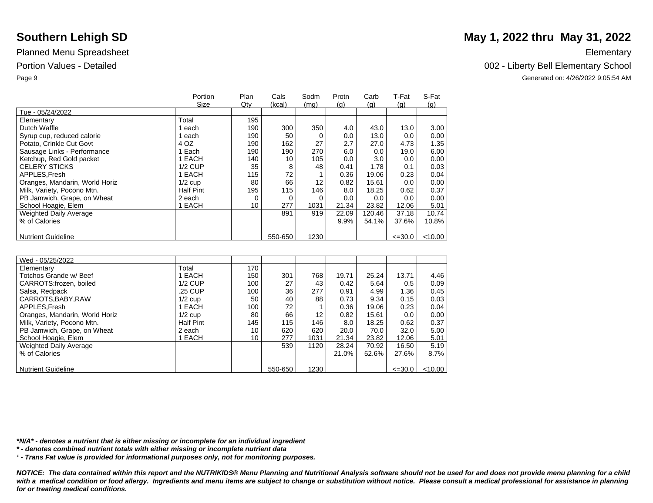|                                | Portion          | Plan | Cals    | Sodm | Protn | Carb   | T-Fat       | S-Fat     |
|--------------------------------|------------------|------|---------|------|-------|--------|-------------|-----------|
|                                | Size             | Qty  | (kcal)  | (mq) | (q)   | (q)    | (q)         | (g)       |
| Tue - 05/24/2022               |                  |      |         |      |       |        |             |           |
| Elementary                     | Total            | 195  |         |      |       |        |             |           |
| Dutch Waffle                   | each             | 190  | 300     | 350  | 4.0   | 43.0   | 13.0        | 3.00      |
| Syrup cup, reduced calorie     | each             | 190  | 50      |      | 0.0   | 13.0   | 0.0         | $0.00\,$  |
| Potato, Crinkle Cut Govt       | 4 OZ             | 190  | 162     | 27   | 2.7   | 27.0   | 4.73        | 1.35      |
| Sausage Links - Performance    | Each             | 190  | 190     | 270  | 6.0   | 0.0    | 19.0        | 6.00      |
| Ketchup, Red Gold packet       | EACH             | 140  | 10      | 105  | 0.0   | 3.0    | 0.0         | 0.00      |
| <b>CELERY STICKS</b>           | $1/2$ CUP        | 35   | 8       | 48   | 0.41  | 1.78   | 0.1         | 0.03      |
| APPLES.Fresh                   | EACH             | 115  | 72      |      | 0.36  | 19.06  | 0.23        | 0.04      |
| Oranges, Mandarin, World Horiz | $1/2$ cup        | 80   | 66      | 12   | 0.82  | 15.61  | 0.0         | 0.00      |
| Milk, Variety, Pocono Mtn.     | <b>Half Pint</b> | 195  | 115     | 146  | 8.0   | 18.25  | 0.62        | 0.37      |
| PB Jamwich, Grape, on Wheat    | 2 each           | 0    | 0       |      | 0.0   | 0.0    | 0.0         | 0.00      |
| School Hoagie, Elem            | EACH             | 10   | 277     | 1031 | 21.34 | 23.82  | 12.06       | 5.01      |
| <b>Weighted Daily Average</b>  |                  |      | 891     | 919  | 22.09 | 120.46 | 37.18       | 10.74     |
| % of Calories                  |                  |      |         |      | 9.9%  | 54.1%  | 37.6%       | 10.8%     |
|                                |                  |      |         |      |       |        |             |           |
| <b>Nutrient Guideline</b>      |                  |      | 550-650 | 1230 |       |        | $\leq 30.0$ | $<$ 10.00 |

| Wed - 05/25/2022               |                  |     |         |      |       |       |             |           |
|--------------------------------|------------------|-----|---------|------|-------|-------|-------------|-----------|
| Elementary                     | Total            | 170 |         |      |       |       |             |           |
| Totchos Grande w/ Beef         | 1 EACH           | 150 | 301     | 768  | 19.71 | 25.24 | 13.71       | 4.46      |
| CARROTS:frozen, boiled         | $1/2$ CUP        | 100 | 27      | 43   | 0.42  | 5.64  | 0.5         | 0.09      |
| Salsa, Redpack                 | .25 CUP          | 100 | 36      | 277  | 0.91  | 4.99  | 1.36        | 0.45      |
| CARROTS, BABY, RAW             | $1/2$ cup        | 50  | 40      | 88   | 0.73  | 9.34  | 0.15        | 0.03      |
| APPLES, Fresh                  | 1 EACH           | 100 | 72      |      | 0.36  | 19.06 | 0.23        | 0.04      |
| Oranges, Mandarin, World Horiz | $1/2$ cup        | 80  | 66      | 12   | 0.82  | 15.61 | 0.0         | 0.00      |
| Milk, Variety, Pocono Mtn.     | <b>Half Pint</b> | 145 | 115     | 146  | 8.0   | 18.25 | 0.62        | 0.37      |
| PB Jamwich, Grape, on Wheat    | 2 each           | 10  | 620     | 620  | 20.0  | 70.0  | 32.0        | 5.00      |
| School Hoagie, Elem            | <b>EACH</b>      | 10  | 277     | 1031 | 21.34 | 23.82 | 12.06       | 5.01      |
| <b>Weighted Daily Average</b>  |                  |     | 539     | 1120 | 28.24 | 70.92 | 16.50       | 5.19      |
| % of Calories                  |                  |     |         |      | 21.0% | 52.6% | 27.6%       | 8.7%      |
|                                |                  |     |         |      |       |       |             |           |
| <b>Nutrient Guideline</b>      |                  |     | 550-650 | 1230 |       |       | $\leq 30.0$ | $<$ 10.00 |

*\*N/A\* - denotes a nutrient that is either missing or incomplete for an individual ingredient*

*\* - denotes combined nutrient totals with either missing or incomplete nutrient data*

*¹ - Trans Fat value is provided for informational purposes only, not for monitoring purposes.*

*NOTICE: The data contained within this report and the NUTRIKIDS® Menu Planning and Nutritional Analysis software should not be used for and does not provide menu planning for a child*  with a medical condition or food allergy. Ingredients and menu items are subject to change or substitution without notice. Please consult a medical professional for assistance in planning *for or treating medical conditions.*

## **Southern Lehigh SD** May 1, 2022 thru May 31, 2022

Portion Values - Detailed **Detailed** 2002 - Liberty Bell Elementary School

Page 9 Generated on: 4/26/2022 9:05:54 AM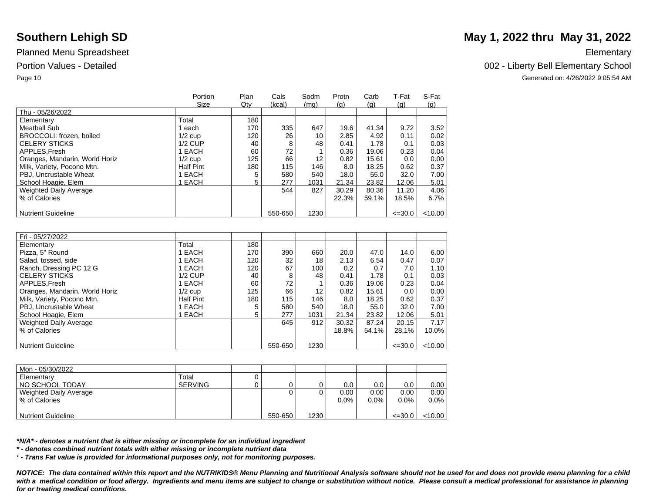|                                | Portion          | Plan | Cals    | Sodm | Protn | Carb  | T-Fat       | S-Fat     |
|--------------------------------|------------------|------|---------|------|-------|-------|-------------|-----------|
|                                | Size             | Qty  | (kcal)  | (mq) | (q)   | (a)   | (q)         | (q)       |
| Thu - 05/26/2022               |                  |      |         |      |       |       |             |           |
| Elementary                     | Total            | 180  |         |      |       |       |             |           |
| <b>Meatball Sub</b>            | each             | 170  | 335     | 647  | 19.6  | 41.34 | 9.72        | 3.52      |
| BROCCOLI: frozen, boiled       | $1/2$ cup        | 120  | 26      | 10   | 2.85  | 4.92  | 0.11        | 0.02      |
| <b>CELERY STICKS</b>           | $1/2$ CUP        | 40   | 8       | 48   | 0.41  | 1.78  | 0.1         | 0.03      |
| APPLES.Fresh                   | I EACH           | 60   | 72      |      | 0.36  | 19.06 | 0.23        | 0.04      |
| Oranges, Mandarin, World Horiz | $1/2$ cup        | 125  | 66      | 12   | 0.82  | 15.61 | 0.0         | 0.00      |
| Milk, Variety, Pocono Mtn.     | <b>Half Pint</b> | 180  | 115     | 146  | 8.0   | 18.25 | 0.62        | 0.37      |
| PBJ, Uncrustable Wheat         | <b>EACH</b>      | 5    | 580     | 540  | 18.0  | 55.0  | 32.0        | 7.00      |
| School Hoagie, Elem            | EACH             | 5    | 277     | 1031 | 21.34 | 23.82 | 12.06       | 5.01      |
| Weighted Daily Average         |                  |      | 544     | 827  | 30.29 | 80.36 | 11.20       | 4.06      |
| % of Calories                  |                  |      |         |      | 22.3% | 59.1% | 18.5%       | 6.7%      |
|                                |                  |      |         |      |       |       |             |           |
| <b>Nutrient Guideline</b>      |                  |      | 550-650 | 1230 |       |       | $\leq 30.0$ | $<$ 10.00 |

| Fri - 05/27/2022               |                  |     |         |      |       |       |             |         |
|--------------------------------|------------------|-----|---------|------|-------|-------|-------------|---------|
| Elementary                     | Total            | 180 |         |      |       |       |             |         |
| Pizza, 5" Round                | EACH             | 170 | 390     | 660  | 20.0  | 47.0  | 14.0        | 6.00    |
| Salad, tossed, side            | EACH             | 120 | 32      | 18   | 2.13  | 6.54  | 0.47        | 0.07    |
| Ranch, Dressing PC 12 G        | EACH             | 120 | 67      | 100  | 0.2   | 0.7   | 7.0         | 1.10    |
| <b>CELERY STICKS</b>           | $1/2$ CUP        | 40  | 8       | 48   | 0.41  | 1.78  | 0.1         | 0.03    |
| APPLES.Fresh                   | EACH             | 60  | 72      |      | 0.36  | 19.06 | 0.23        | 0.04    |
| Oranges, Mandarin, World Horiz | $1/2$ cup        | 125 | 66      | 12   | 0.82  | 15.61 | 0.0         | 0.00    |
| Milk, Variety, Pocono Mtn.     | <b>Half Pint</b> | 180 | 115     | 146  | 8.0   | 18.25 | 0.62        | 0.37    |
| PBJ, Uncrustable Wheat         | <b>EACH</b>      | 5   | 580     | 540  | 18.0  | 55.0  | 32.0        | 7.00    |
| School Hoagie, Elem            | <b>EACH</b>      | 5   | 277     | 1031 | 21.34 | 23.82 | 12.06       | 5.01    |
| Weighted Daily Average         |                  |     | 645     | 912  | 30.32 | 87.24 | 20.15       | 7.17    |
| % of Calories                  |                  |     |         |      | 18.8% | 54.1% | 28.1%       | 10.0%   |
|                                |                  |     |         |      |       |       |             |         |
| <b>Nutrient Guideline</b>      |                  |     | 550-650 | 1230 |       |       | $\leq 30.0$ | < 10.00 |

| Mon - 05/30/2022          |                |         |      |      |         |             |           |
|---------------------------|----------------|---------|------|------|---------|-------------|-----------|
| Elementary                | Total          |         |      |      |         |             |           |
| NO SCHOOL TODAY           | <b>SERVING</b> |         |      | 0.0  | 0.0     | 0.0         | 0.00      |
| Weighted Daily Average    |                |         |      | 0.00 | 0.00    | 0.00        | 0.00      |
| % of Calories             |                |         |      | 0.0% | $0.0\%$ | $0.0\%$     | $0.0\%$   |
|                           |                |         |      |      |         |             |           |
| <b>Nutrient Guideline</b> |                | 550-650 | 1230 |      |         | $\leq 30.0$ | $<$ 10.00 |

*\*N/A\* - denotes a nutrient that is either missing or incomplete for an individual ingredient*

*\* - denotes combined nutrient totals with either missing or incomplete nutrient data*

*¹ - Trans Fat value is provided for informational purposes only, not for monitoring purposes.*

*NOTICE: The data contained within this report and the NUTRIKIDS® Menu Planning and Nutritional Analysis software should not be used for and does not provide menu planning for a child*  with a medical condition or food allergy. Ingredients and menu items are subject to change or substitution without notice. Please consult a medical professional for assistance in planning *for or treating medical conditions.*

## **Southern Lehigh SD** May 1, 2022 thru May 31, 2022

### Portion Values - Detailed **Detailed** 2002 - Liberty Bell Elementary School

Page 10 Generated on: 4/26/2022 9:05:54 AM